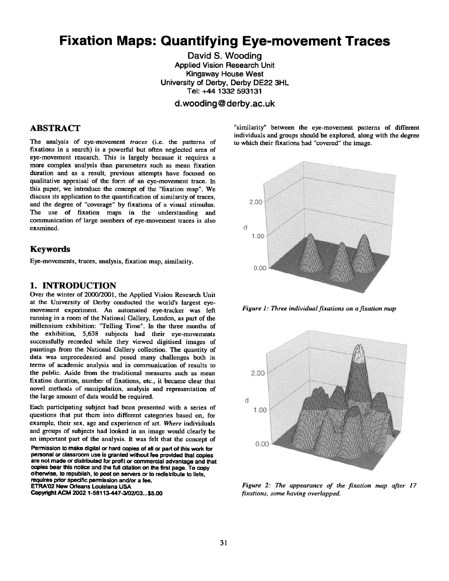# **Fixation Maps: Quantifying Eye-movement Traces**

David S. Wooding Applied Vision Research Unit Kingsway House West University of Derby, Derby DE22 3HL Tel: +44 1332 593131

**d.wooding @ derby.ac.uk** 

#### **ABSTRACT**

The analysis of eye-movement *traces* (i.e. the patterns of fixations in a search) is a powerful but often neglected area of eye-movement research. This is largely because it requires a more complex analysis than parameters such as mean fixation duration and as a result, previous attempts have focused on qualitative appraisal of the form of an eye-movement trace. In this paper, we introduce the concept of the "fixation map". We discuss its application to the quantification of similarity of traces, and the degree of "coverage" by fixations of a visual stimulus. The use of fixation maps in the understanding and communication of large numbers of eye-movement traces is also examined.

#### Keywords

Eye-movements, traces, analysis, fixation map, similarity.

#### **1. INTRODUCTION**

Over the winter of 2000/2001, the Applied Vision Research Unit at the University of Derby conducted the world's largest eyemovement experiment. An automated eye-tracker was left running in a room of the National Gallery, London, as part of the millennium exhibition: "Telling Time". In the three months of the exhibition, 5,638 subjects had their eye-movements successfully recorded while they viewed digitised images of paintings from the National Gallery collection. The quantity of data was unprecedented and posed many challenges both in terms of academic analysis and in communication of results to the public. Aside from the traditional measures such as mean fixation duration, number of fixations, etc., it became clear that novel methods of manipulation, analysis and representation of the large amount of data would be required.

Each participating subject had been presented with a series of questions that put them into different categories based on, for example, their sex, age and experience of art. *Where* individuals and groups of subjects had looked in an image would clearly be an important part of the analysis. It was felt that the concept of

Permission to make digital or hard copies of all or part of this work for personal or classroom use is granted without fee **provided that copies are not made or distributed for profit or** commercial advantage **and that copies bear this notice and the full citalion on the first page. To copy otherwise, to republish, to post on servers or** to redistribute to lists, **requires prior specific** pemnlssion and/or a fee. **ETRA'02 New Odeans Louisiana USA** 

**Copyright ACM 2002 1-58113-447-3/02,/03...\$5.00** 

"similarity" between the eye-movement patterns of different individuals and groups should be explored, along with the degree to which their fixations had "covered" the image.



*Figure 1: Three individual fixations on a fixation map* 



*Figure 2: The appearance of the fixation map after 17 fixations, some having overlapped.*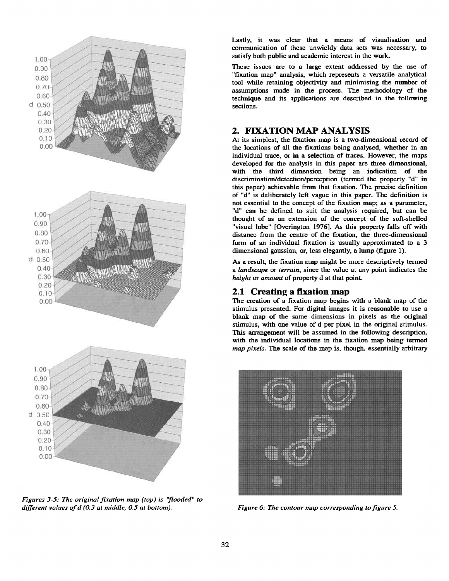

*Figures 3-5: The original fixation map (top) is 'flooded" to different values of d (0.3 at middle, 0.5 at bottom). Figure 6: The contour map corresponding to figure 5.* 

Lastly, it was clear that a means of visualisation and communication of these unwieldy data sets was necessary, to satisfy both public and academic interest in the work.

These issues are to a large extent addressed by the use of "fixation map" analysis, which represents a versatile analytical tool while retaining objectivity and minimising the number of assumptions made in the process. The methodology of the technique and its applications are described in the following sections.

## **2. FIXATION MAP ANALYSIS**

At its simplest, the fixation map is a two-dimensional record **of**  the locations of all the fixations being analysed, whether in an individual trace, or in a selection of traces. However, the maps developed for the analysis in this paper are three dimensional, with the third dimension being an indication of the discrimination/detection/perception (termed the property "d" in this paper) achievable from that fixation. The precise definition of "d" is deliberately left vague in this paper. The definition is not essential to the concept of the fixation map; as a parameter, "d" can be defined to suit the analysis required, but can be thought of as an extension of the concept of the soft-shelled "visual lobe" [Overington 1976]. As this property falls off with distance from the centre of the fixation, the three-dimensional form of an individual fixation is usually approximated to a 3 dimensional gaussian, or, less elegantly, a lump (figure 1).

As a result, the fixation map might be more descriptively termed *a landscape* or *terrain,* since the value at any point indicates the *height* or *amount* of property d at that point.

## **2.1 Creating a fixation map**

The creation of a fixation map begins with a blank map of the stimulus presented. For digital images it is reasonable to use a blank map of the same dimensions in pixels as the original stimulus, with one value of d per pixel in the original stimulus. This arrangement will be assumed in the following description, with the individual locations in the fixation map being termed *map pixels.* The scale of the map is, though, essentially arbitrary

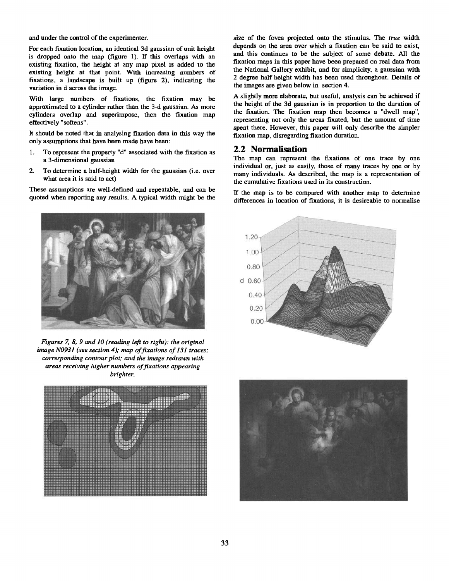and under the control of the experimenter.

For each fixation location, an identical 3d gaussian of unit height is dropped onto the map (figure 1). If this overlaps with an existing fixation, the height at any map pixel is added to the existing height at that point. With increasing numbers of fixations, a landscape is built up (figure 2), indicating the variation in d across the image.

With large numbers of fixations, the fixation may be approximated to a cylinder rather than the 3-d gaussian. As more cylinders overlap and superimpose, then the fixation map effectively "softens".

It should be noted that in analysing fixation data in this way the only assumptions that have been made have been:

- 1. To represent the property "d" associated with the fixation as a 3-dimensional gaussian
- 2. To determine a half-height width for the gaussian (i.e. over what area it is said to act)

These assumptions are well-defined and repeatable, and can be quoted when reporting any results. A typical width might be the



*Figures 7, 8, 9 and 10 (reading left to right): the original image N0931 (see section 4); map of fixations of 131 traces; corresponding contour plot; and the image redrawn with areas receiving higher numbers of fixations appearing brighter.* 



size of the fovea projected onto the stimulus. The *true* width depends on the area over which a fixation can be said to exist, and this continues to be the subject of some debate. All the fixation maps in this paper have been prepared on real data from the National Gallery exhibit, and for simplicity, a gaussian with 2 degree half height width has been used throughout. Details of the images are given below in section 4.

A slightly more elaborate, but useful, analysis can be achieved if the height of the 3d gaussian is in proportion to the duration of the fixation. The fixation map then becomes a "dwell map", representing not only the areas fixated, but the amount of time spent there. However, this paper will only describe the simpler fixation map, disregarding fixation duration.

## **2.2 Normafisation**

The map can represent the fixations of one trace by one individual or, just as easily, those of many traces by one or by many individuals. As described, the map is a representation of the cumulative fixations used in its construction.

If the map is to be compared with another map to determine differences in location of fixations, it is desireable to normalise



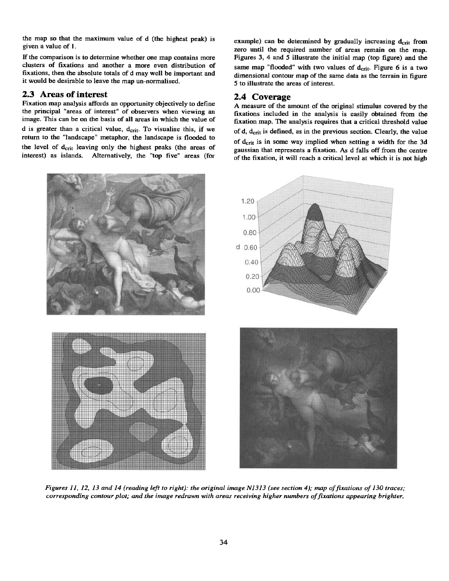the map so that the maximum value of d (the highest peak) is given a value of 1.

If the comparison is to determine whether one map contains more clusters of fixations and another a more even distribution of fixations, then the absolute totals of d may well be important and it would be desirable to leave the map un-normalised.

#### **2.3 Areas of interest**

Fixation map analysis affords an opportunity objectively to define the principal "areas of interest" of observers when viewing an image. This can be on the basis of all areas in which the value of d is greater than a critical value,  $d_{\text{crit}}$ . To visualise this, if we return to the "landscape" metaphor, the landscape is flooded to the level of  $d_{\text{crit}}$  leaving only the highest peaks (the areas of interest) as islands. Alternatively, the "top five" areas (for example) can be determined by gradually increasing  $d_{crit}$  from zero until the required number of areas remain on the map. Figures 3, 4 and 5 illustrate the initial map (top figure) and the same map "flooded" with two values of  $d_{crit}$ . Figure 6 is a two dimensional contour map of the same data as the terrain in figure 5 to illustrate the areas of interest.

#### **2.4 Coverage**

A measure of the amount of the original stimulus covered by the fixations included in the analysis is easily obtained from the fixation map. The analysis requires that a critical threshold value of d, derit is defined, as in the previous section. Clearly, the value of d<sub>crit</sub> is in some way implied when setting a width for the 3d gaussian that represents a fixation. As d falls off from the centre of the fixation, it will reach a critical level at which it is not high



*Figures I1, 12, 13 and 14 (reading left to right): the original image N1313 (see section 4); map of fixations of 130 traces; corresponding contour plot; and the image redrawn with areas receiving higher numbers of fixations appearing brighter.*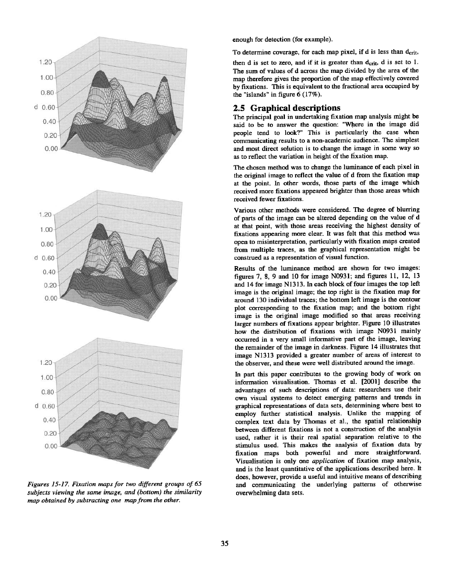

*Figures 15-1Z Fixation maps for two different groups of 65 subjects viewing the same image, and (bottom) the similarity map obtained by subtracting one map from the other.* 

enough for detection (for example).

To determine coverage, for each map pixel, if  $d$  is less than  $d_{crit}$ ,

then d is set to zero, and if it is greater than  $d_{crit}$ , d is set to 1. The sum of values of d across the map divided by the area of the map therefore gives the proportion of the map effectively covered by fixations. This is equivalent to the fractional area occupied by the "islands" in figure 6 (17%).

#### **2.5 Graphical** descriptions

The principal goal in undertaking fixation map analysis might be said to be to answer the question: "Where in the image did people tend to look?" This is particularly the case when communicating results to a non-academic audience. The simplest and most direct solution is to change the image in some way so as to reflect the variation in height of the fixation map.

The chosen method was to change the luminance of each pixel in the original image to reflect the value of d from the fixation map at the point. In other words, those parts of the image which received more fixations appeared brighter than those areas which received fewer fixations.

Various other methods were considered. The degree of blurring of parts of the image can be altered depending on the value of d at that point, with those areas receiving the highest density of fixations appearing more clear. It was felt that this method was open to misinterpretation, particularly with fixation maps created from multiple traces, as the graphical representation might be construed as a representation of visual function.

Results of the luminance method are shown for two images: figures 7, 8, 9 and 10 for image N0931; and figures 11, 12, 13 and 14 for image N1313. In each block of four images the top left image is the original image; the top right is the fixation map for around 130 individual traces; the bottom left image is the contour plot corresponding to the fixation map; and the bottom right image is the original image modified so that areas receiving larger numbers of fixations appear brighter. Figure 10 illustrates how the distribution of fixations with image N0931 mainly occurred in a very small informative part of the image, leaving the remainder of the image in darkness. Figure 14 illustrates that image N1313 provided a greater number of areas of interest to the observer, and these were well distributed around the image.

In part this paper contributes to the growing body of work on information visualisation. Thomas et al. [2001] describe the advantages of such descriptions of data: researchers use their own visual systems to detect emerging patterns and trends in graphical representations of data sets, determining where best to employ further statistical analysis. Unlike the mapping of complex text data by Thomas et al., the spatial relationship between different fixations is not a construction of the analysis used, rather it is their real spatial separation relative to the stimulus used. This makes the analysis of fixation data by fixation maps both powerful and more straightforward. Visualisation is only one *application* of fixation map analysis, and is the least quantitative of the applications described here. It does, however, provide a useful and intuitive means of describing and communicating the underlying patterns of otherwise overwhelming data sets.